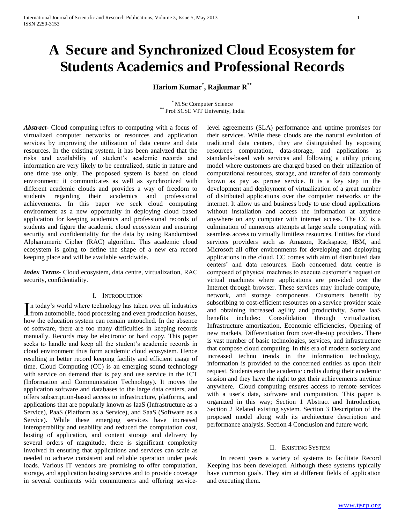# **A Secure and Synchronized Cloud Ecosystem for Students Academics and Professional Records**

**Hariom Kumar\* , Rajkumar R\*\***

\* M.Sc Computer Science \*\* Prof SCSE VIT University, India

*Abstract***-** Cloud computing refers to computing with a focus of virtualized computer networks or resources and application services by improving the utilization of data centre and data resources. In the existing system, it has been analyzed that the risks and availability of student's academic records and information are very likely to be centralized, static in nature and one time use only. The proposed system is based on cloud environment; it communicates as well as synchronized with different academic clouds and provides a way of freedom to students regarding their academics and professional achievements. In this paper we seek cloud computing environment as a new opportunity in deploying cloud based application for keeping academics and professional records of students and figure the academic cloud ecosystem and ensuring security and confidentiality for the data by using Randomized Alphanumeric Cipher (RAC) algorithm. This academic cloud ecosystem is going to define the shape of a new era record keeping place and will be available worldwide.

*Index Terms*- Cloud ecosystem, data centre, virtualization, RAC security, confidentiality.

#### I. INTRODUCTION

n today's world where technology has taken over all industries In today's world where technology has taken over all industries<br>from automobile, food processing and even production houses, how the education system can remain untouched. In the absence of software, there are too many difficulties in keeping records manually. Records may be electronic or hard copy. This paper seeks to handle and keep all the student's academic records in cloud environment thus form academic cloud ecosystem. Hence resulting in better record keeping facility and efficient usage of time. Cloud Computing (CC) is an emerging sound technology with service on demand that is pay and use service in the ICT (Information and Communication Technology). It moves the application software and databases to the large data centers, and offers subscription-based access to infrastructure, platforms, and applications that are popularly known as IaaS (Infrastructure as a Service), PaaS (Platform as a Service), and SaaS (Software as a Service). While these emerging services have increased interoperability and usability and reduced the computation cost, hosting of application, and content storage and delivery by several orders of magnitude, there is significant complexity involved in ensuring that applications and services can scale as needed to achieve consistent and reliable operation under peak loads. Various IT vendors are promising to offer computation, storage, and application hosting services and to provide coverage in several continents with commitments and offering servicelevel agreements (SLA) performance and uptime promises for their services. While these clouds are the natural evolution of traditional data centers, they are distinguished by exposing resources computation, data-storage, and applications as standards-based web services and following a utility pricing model where customers are charged based on their utilization of computational resources, storage, and transfer of data commonly known as pay as peruse service. It is a key step in the development and deployment of virtualization of a great number of distributed applications over the computer networks or the internet. It allow us and business body to use cloud applications without installation and access the information at anytime anywhere on any computer with internet access. The CC is a culmination of numerous attempts at large scale computing with seamless access to virtually limitless resources. Entities for cloud services providers such as Amazon, Rackspace, IBM, and Microsoft all offer environments for developing and deploying applications in the cloud. CC comes with aim of distributed data centers' and data resources. Each concerned data centre is composed of physical machines to execute customer's request on virtual machines where applications are provided over the Internet through browser. These services may include compute, network, and storage components. Customers benefit by subscribing to cost-efficient resources on a service provider scale and obtaining increased agility and productivity. Some IaaS benefits includes: Consolidation through virtualization, Infrastructure amortization, Economic efficiencies, Opening of new markets, Differentiation from over-the-top providers. There is vast number of basic technologies, services, and infrastructure that compose cloud computing. In this era of modern society and increased techno trends in the information technology, information is provided to the concerned entities as upon their request. Students earn the academic credits during their academic session and they have the right to get their achievements anytime anywhere. Cloud computing ensures access to remote services with a user's data, software and computation. This paper is organized in this way; Section 1 Abstract and Introduction, Section 2 Related existing system. Section 3 Description of the proposed model along with its architecture description and performance analysis. Section 4 Conclusion and future work.

#### II. EXISTING SYSTEM

 In recent years a variety of systems to facilitate Record Keeping has been developed. Although these systems typically have common goals. They aim at different fields of application and executing them.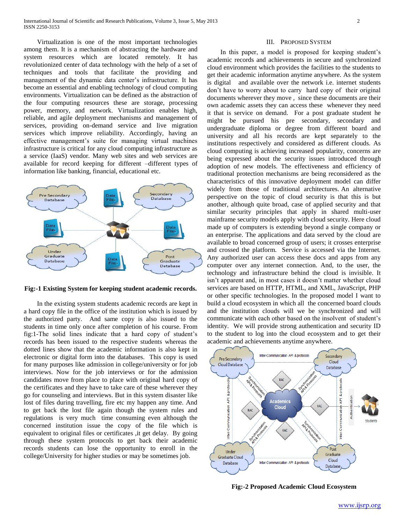Virtualization is one of the most important technologies among them. It is a mechanism of abstracting the hardware and system resources which are located remotely. It has revolutionized center of data technology with the help of a set of techniques and tools that facilitate the providing and management of the dynamic data center's infrastructure. It has become an essential and enabling technology of cloud computing environments. Virtualization can be defined as the abstraction of the four computing resources these are storage, processing power, memory, and network. Virtualization enables high, reliable, and agile deployment mechanisms and management of services, providing on-demand service and live migration services which improve reliability. Accordingly, having an effective management's suite for managing virtual machines infrastructure is critical for any cloud computing infrastructure as a service (IaaS) vendor. Many web sites and web services are available for record keeping for different –different types of information like banking, financial, educational etc.



**Fig:-1 Existing System for keeping student academic records.**

 In the existing system students academic records are kept in a hard copy file in the office of the institution which is issued by the authorized party. And same copy is also issued to the students in time only once after completion of his course. From fig:1-The solid lines indicate that a hard copy of student's records has been issued to the respective students whereas the dotted lines show that the academic information is also kept in electronic or digital form into the databases. This copy is used for many purposes like admission in college/university or for job interviews. Now for the job interviews or for the admission candidates move from place to place with original hard copy of the certificates and they have to take care of these wherever they go for counseling and interviews. But in this system disaster like lost of files during travelling, fire etc my happen any time. And to get back the lost file again though the system rules and regulations is very much time consuming even although the concerned institution issue the copy of the file which is equivalent to original files or certificates ,it get delay. By going through these system protocols to get back their academic records students can lose the opportunity to enroll in the college/University for higher studies or may be sometimes job.

#### III. PROPOSED SYSTEM

 In this paper, a model is proposed for keeping student's academic records and achievements in secure and synchronized cloud environment which provides the facilities to the students to get their academic information anytime anywhere. As the system is digital and available over the network i.e. internet students don't have to worry about to carry hard copy of their original documents wherever they move , since these documents are their own academic assets they can access these whenever they need it that is service on demand. For a post graduate student he might be pursued his pre secondary, secondary and undergraduate diploma or degree from different board and university and all his records are kept separately to the institutions respectively and considered as different clouds. As cloud computing is achieving increased popularity, concerns are being expressed about the security issues introduced through adoption of new models. The effectiveness and efficiency of traditional protection mechanisms are being reconsidered as the characteristics of this innovative deployment model can differ widely from those of traditional architectures. An alternative perspective on the topic of cloud security is that this is but another, although quite broad, case of applied security and that similar security principles that apply in shared multi-user mainframe security models apply with cloud security. Here cloud made up of computers is extending beyond a single company or an enterprise. The applications and data served by the cloud are available to broad concerned group of users; it crosses enterprise and crossed the platform. Service is accessed via the Internet. Any authorized user can access these docs and apps from any computer over any internet connection. And, to the user, the technology and infrastructure behind the cloud is invisible. It isn't apparent and, in most cases it doesn't matter whether cloud services are based on HTTP, HTML, and XML, JavaScript, PHP or other specific technologies. In the proposed model I want to build a cloud ecosystem in which all the concerned board clouds and the institution clouds will we be synchronized and will communicate with each other based on the insolvent of student's identity. We will provide strong authentication and security ID to the student to log into the cloud ecosystem and to get their academic and achievements anytime anywhere.



**Fig:-2 Proposed Academic Cloud Ecosystem**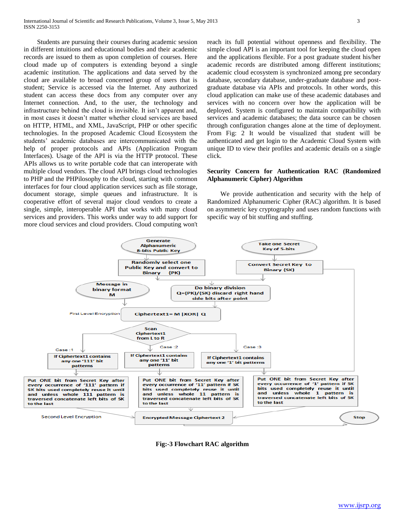Students are pursuing their courses during academic session in different intuitions and educational bodies and their academic records are issued to them as upon completion of courses. Here cloud made up of computers is extending beyond a single academic institution. The applications and data served by the cloud are available to broad concerned group of users that is student; Service is accessed via the Internet. Any authorized student can access these docs from any computer over any Internet connection. And, to the user, the technology and infrastructure behind the cloud is invisible. It isn't apparent and, in most cases it doesn't matter whether cloud services are based on HTTP, HTML, and XML, JavaScript, PHP or other specific technologies. In the proposed Academic Cloud Ecosystem the students' academic databases are intercommunicated with the help of proper protocols and APIs (Application Program Interfaces). Usage of the API is via the HTTP protocol. These APIs allows us to write portable code that can interoperate with multiple cloud vendors. The cloud API brings cloud technologies to PHP and the PHPilosophy to the cloud, starting with common interfaces for four cloud application services such as file storage, document storage, simple queues and infrastructure. It is cooperative effort of several major cloud vendors to create a single, simple, interoperable API that works with many cloud services and providers. This works under way to add support for more cloud services and cloud providers. Cloud computing won't

reach its full potential without openness and flexibility. The simple cloud API is an important tool for keeping the cloud open and the applications flexible. For a post graduate student his/her academic records are distributed among different institutions; academic cloud ecosystem is synchronized among pre secondary database, secondary database, under-graduate database and postgraduate database via APIs and protocols. In other words, this cloud application can make use of these academic databases and services with no concern over how the application will be deployed. System is configured to maintain compatibility with services and academic databases; the data source can be chosen through configuration changes alone at the time of deployment. From Fig: 2 It would be visualized that student will be authenticated and get login to the Academic Cloud System with unique ID to view their profiles and academic details on a single click.

#### **Security Concern for Authentication RAC (Randomized Alphanumeric Cipher) Algorithm**

 We provide authentication and security with the help of Randomized Alphanumeric Cipher (RAC) algorithm. It is based on asymmetric key cryptography and uses random functions with specific way of bit stuffing and stuffing.



**Fig:-3 Flowchart RAC algorithm**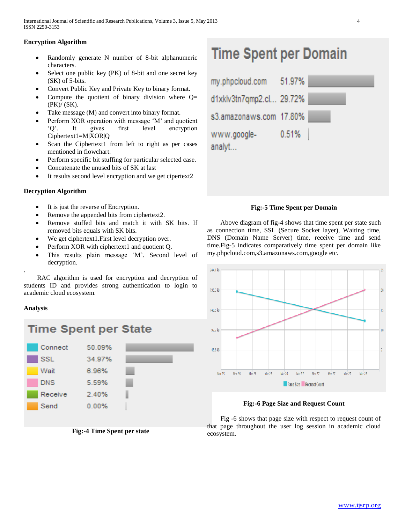# **Encryption Algorithm**

- Randomly generate N number of 8-bit alphanumeric characters.
- Select one public key (PK) of 8-bit and one secret key (SK) of 5-bits.
- Convert Public Key and Private Key to binary format.
- Compute the quotient of binary division where  $Q=$ (PK)/ (SK).
- Take message (M) and convert into binary format.
- Perform XOR operation with message 'M' and quotient 'Q'. It gives first level encryption Ciphertext1=M|XOR|Q
- Scan the Ciphertext1 from left to right as per cases mentioned in flowchart.
- Perform specific bit stuffing for particular selected case.
- Concatenate the unused bits of SK at last
- It results second level encryption and we get cipertext2

# **Decryption Algorithm**

- It is just the reverse of Encryption.
- Remove the appended bits from ciphertext2.
- Remove stuffed bits and match it with SK bits. If removed bits equals with SK bits.
- We get ciphertext1.First level decryption over.
- Perform XOR with ciphertext1 and quotient Q.
- This results plain message 'M'. Second level of decryption.

. RAC algorithm is used for encryption and decryption of students ID and provides strong authentication to login to academic cloud ecosystem.

# **Analysis**



**Fig:-4 Time Spent per state**

# **Time Spent per Domain**

| my.phpcloud.com          | 51.97% |  |
|--------------------------|--------|--|
| d1xklv3tn7qmp2.cl 29.72% |        |  |
| s3.amazonaws.com 17.80%  |        |  |
| www.google-<br>analyt    | 0.51%  |  |

# **Fig:-5 Time Spent per Domain**

 Above diagram of fig-4 shows that time spent per state such as connection time, SSL (Secure Socket layer), Waiting time, DNS (Domain Name Server) time, receive time and send time.Fig-5 indicates comparatively time spent per domain like my.phpcloud.com,s3.amazonaws.com,google etc.



**Fig:-6 Page Size and Request Count**

 Fig -6 shows that page size with respect to request count of that page throughout the user log session in academic cloud ecosystem.